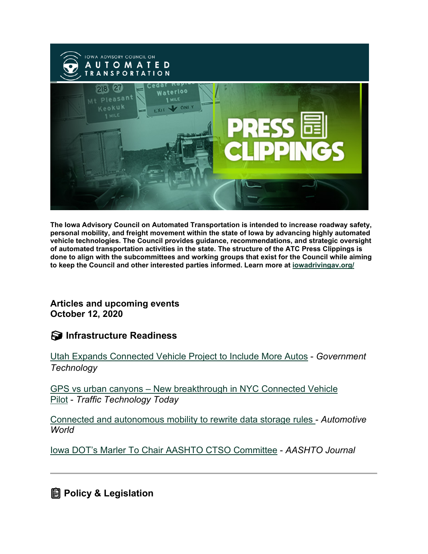

**The Iowa Advisory Council on Automated Transportation is intended to increase roadway safety, personal mobility, and freight movement within the state of Iowa by advancing highly automated vehicle technologies. The Council provides guidance, recommendations, and strategic oversight of automated transportation activities in the state. The structure of the ATC Press Clippings is done to align with the subcommittees and working groups that exist for the Council while aiming to keep the Council and other interested parties informed. Learn more at [iowadrivingav.org/](https://iowadrivingav.org/?utm_medium=email&utm_source=govdelivery)**

**Articles and upcoming events October 12, 2020**

**S** Infrastructure Readiness

[Utah Expands Connected Vehicle Project to Include More Autos](https://www.govtech.com/transportation/Utah-Expands-Connected-Vehicle-Project-to-Include-More-Autos.html?utm_medium=email&utm_source=govdelivery) - *Government Technology*

GPS vs urban canyons – [New breakthrough in NYC Connected Vehicle](https://www.traffictechnologytoday.com/news/connected-vehicles-infrastructure/gps-vs-urban-canyons-new-breakthrough-in-nyc-connected-vehicle-pilot.html?utm_medium=email&utm_source=govdelivery)  [Pilot](https://www.traffictechnologytoday.com/news/connected-vehicles-infrastructure/gps-vs-urban-canyons-new-breakthrough-in-nyc-connected-vehicle-pilot.html?utm_medium=email&utm_source=govdelivery) - *Traffic Technology Today*

[Connected and autonomous mobility to rewrite data storage rules](https://www.automotiveworld.com/articles/connected-and-autonomous-mobility-to-rewrite-data-storage-rules/?utm_medium=email&utm_source=govdelivery) - *Automotive World*

[Iowa DOT's Marler To Chair AASHTO CTSO Committee](https://aashtojournal.org/2020/10/02/iowa-dots-marler-to-chair-aashto-ctso-committee/?utm_medium=email&utm_source=govdelivery) - *AASHTO Journal*

**Policy & Legislation**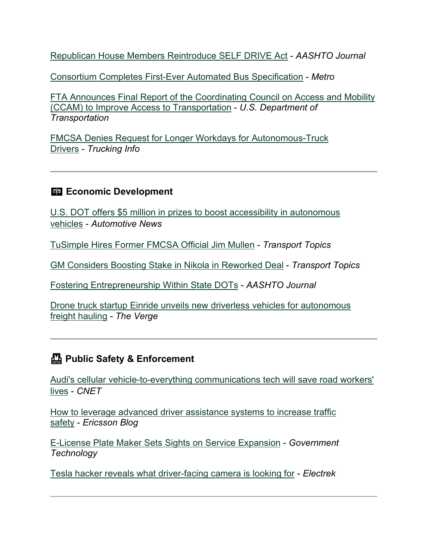[Republican House Members Reintroduce SELF DRIVE Act](https://aashtojournal.org/2020/09/25/republican-house-members-reintroduce-self-drive-act/?utm_medium=email&utm_source=govdelivery) - *AASHTO Journal*

[Consortium Completes First-Ever Automated Bus Specification](https://www.metro-magazine.com/10126498/consortium-completes-first-ever-automated-bus-specification?utm_medium=email&utm_source=govdelivery) - *Metro*

[FTA Announces Final Report of the Coordinating Council on Access and Mobility](https://www.transit.dot.gov/about/news/fta-announces-final-report-coordinating-council-access-and-mobility-ccam-improve-access?utm_medium=email&utm_source=govdelivery)  [\(CCAM\) to Improve Access to Transportation](https://www.transit.dot.gov/about/news/fta-announces-final-report-coordinating-council-access-and-mobility-ccam-improve-access?utm_medium=email&utm_source=govdelivery) - *U.S. Department of Transportation*

[FMCSA Denies Request for Longer Workdays for Autonomous-Truck](https://www.truckinginfo.com/10126660/fmcsa-denies-request-for-longer-workdays-for-autonomous-truck-drivers?utm_medium=email&utm_source=govdelivery)  [Drivers](https://www.truckinginfo.com/10126660/fmcsa-denies-request-for-longer-workdays-for-autonomous-truck-drivers?utm_medium=email&utm_source=govdelivery) - *Trucking Info*

### **ED Economic Development**

[U.S. DOT offers \\$5 million in prizes to boost accessibility in autonomous](https://www.autonews.com/mobility-report-newsletter/us-dot-offers-5-million-prizes-boost-accessibility-autonomous-vehicles?utm_medium=email&utm_source=govdelivery)  [vehicles](https://www.autonews.com/mobility-report-newsletter/us-dot-offers-5-million-prizes-boost-accessibility-autonomous-vehicles?utm_medium=email&utm_source=govdelivery) - *Automotive News*

[TuSimple Hires Former FMCSA Official Jim Mullen](https://www.ttnews.com/articles/tusimple-hires-former-fmcsa-official-jim-mullen?utm_medium=email&utm_source=govdelivery) - *Transport Topics*

[GM Considers Boosting Stake in Nikola in Reworked Deal](https://www.ttnews.com/articles/gm-considers-boosting-stake-nikola-reworked-deal?utm_medium=email&utm_source=govdelivery) - *Transport Topics*

[Fostering Entrepreneurship Within State DOTs](https://aashtojournal.org/2020/10/02/fostering-public-sector-entrepreneurship-within-state-dots/?utm_medium=email&utm_source=govdelivery) - *AASHTO Journal*

[Drone truck startup Einride unveils new driverless vehicles for autonomous](https://www.theverge.com/2020/10/8/21506125/einride-self-driving-truck-pod-aet-reveal?utm_medium=email&utm_source=govdelivery)  [freight hauling](https://www.theverge.com/2020/10/8/21506125/einride-self-driving-truck-pod-aet-reveal?utm_medium=email&utm_source=govdelivery) *- The Verge*

## **Public Safety & Enforcement**

[Audi's cellular vehicle-to-everything communications tech will save road workers'](https://www.cnet.com/roadshow/news/audi-c-v2x-communications/?utm_medium=email&utm_source=govdelivery)  [lives](https://www.cnet.com/roadshow/news/audi-c-v2x-communications/?utm_medium=email&utm_source=govdelivery) - *CNET*

[How to leverage advanced driver assistance systems to increase traffic](https://www.ericsson.com/en/blog/2020/9/advanced-driver-assistence-systems-and-increased-traffic-safety?utm_medium=email&utm_source=govdelivery)  [safety](https://www.ericsson.com/en/blog/2020/9/advanced-driver-assistence-systems-and-increased-traffic-safety?utm_medium=email&utm_source=govdelivery) - *Ericsson Blog*

[E-License Plate Maker Sets Sights on Service Expansion](https://www.govtech.com/products/E-License-Plate-Maker-Sets-Sights-on-Service-Expansion.html?utm_medium=email&utm_source=govdelivery) - *Government Technology*

[Tesla hacker reveals what driver-facing camera is looking for](https://electrek.co/2020/10/04/tesla-hacker-driver-facing-camera-looking-for/?utm_medium=email&utm_source=govdelivery) - *Electrek*